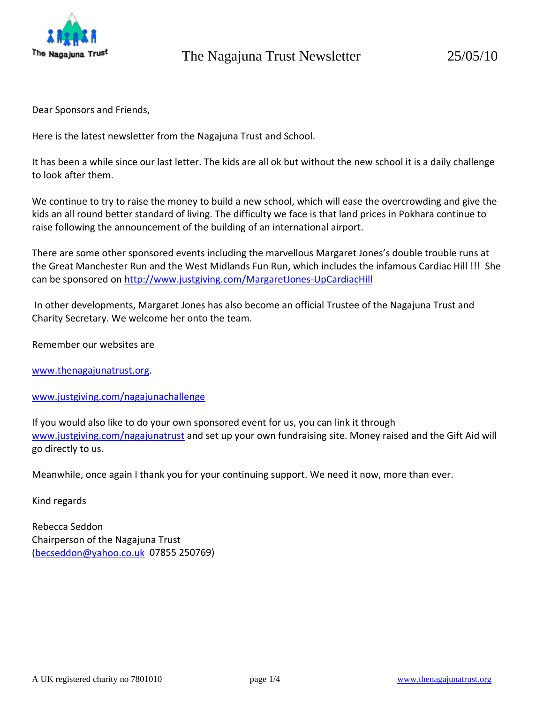

Dear Sponsors and Friends,

Here is the latest newsletter from the Nagajuna Trust and School.

It has been a while since our last letter. The kids are all ok but without the new school it is a daily challenge to look after them.

We continue to try to raise the money to build a new school, which will ease the overcrowding and give the kids an all round better standard of living. The difficulty we face is that land prices in Pokhara continue to raise following the announcement of the building of an international airport.

There are some other sponsored events including the marvellous Margaret Jones's double trouble runs at the Great Manchester Run and the West Midlands Fun Run, which includes the infamous Cardiac Hill !!! She can be sponsored on [http://www.justgiving.com/MargaretJones](http://www.justgiving.com/MargaretJones-UpCardiacHill)‐UpCardiacHill

In other developments, Margaret Jones has also become an official Trustee of the Nagajuna Trust and Charity Secretary. We welcome her onto the team.

Remember our websites are

[www.thenagajunatrust.org](http://www.thenagajunatrust.org/).

[www.justgiving.com/nagajunachallenge](http://www.justgiving.com/nagajunachallenge)

If you would also like to do your own sponsored event for us, you can link it through [www.justgiving.com/nagajunatrust](http://www.justgiving.com/nagajunatrust) and set up your own fundraising site. Money raised and the Gift Aid will go directly to us.

Meanwhile, once again I thank you for your continuing support. We need it now, more than ever.

Kind regards

Rebecca Seddon Chairperson of the Nagajuna Trust ([becseddon@yahoo.co.uk](mailto:becseddon@yahoo.co.uk) 07855 250769)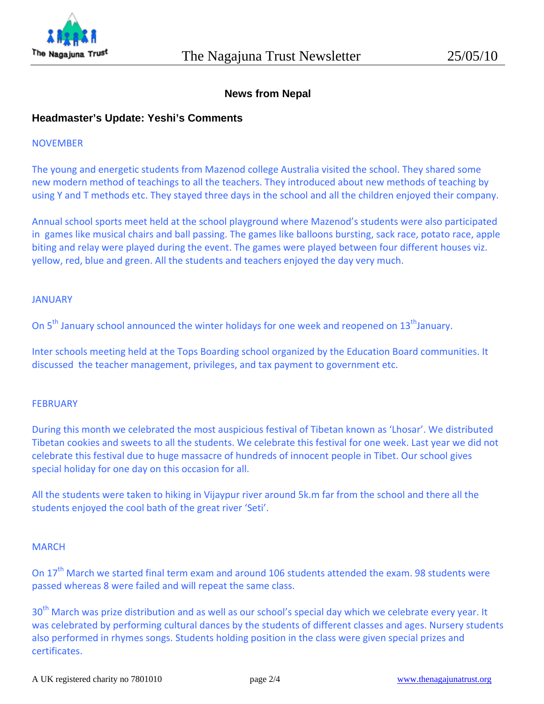

# **News from Nepal**

## **Headmaster's Update: Yeshi's Comments**

#### NOVEMBER

The young and energetic students from Mazenod college Australia visited the school. They shared some new modern method of teachings to all the teachers. They introduced about new methods of teaching by using Y and T methods etc. They stayed three days in the school and all the children enjoyed their company.

Annual school sports meet held at the school playground where Mazenod's students were also participated in games like musical chairs and ball passing. The games like balloons bursting, sack race, potato race, apple biting and relay were played during the event. The games were played between four different houses viz. yellow, red, blue and green. All the students and teachers enjoyed the day very much.

#### JANUARY

On 5<sup>th</sup> January school announced the winter holidays for one week and reopened on 13<sup>th</sup>January.

Inter schools meeting held at the Tops Boarding school organized by the Education Board communities. It discussed the teacher management, privileges, and tax payment to government etc.

#### **FEBRUARY**

During this month we celebrated the most auspicious festival of Tibetan known as 'Lhosar'. We distributed Tibetan cookies and sweets to all the students. We celebrate this festival for one week. Last year we did not celebrate this festival due to huge massacre of hundreds of innocent people in Tibet. Our school gives special holiday for one day on this occasion for all.

All the students were taken to hiking in Vijaypur river around 5k.m far from the school and there all the students enjoyed the cool bath of the great river 'Seti'.

#### **MARCH**

On 17<sup>th</sup> March we started final term exam and around 106 students attended the exam. 98 students were passed whereas 8 were failed and will repeat the same class.

30<sup>th</sup> March was prize distribution and as well as our school's special day which we celebrate every year. It was celebrated by performing cultural dances by the students of different classes and ages. Nursery students also performed in rhymes songs. Students holding position in the class were given special prizes and certificates.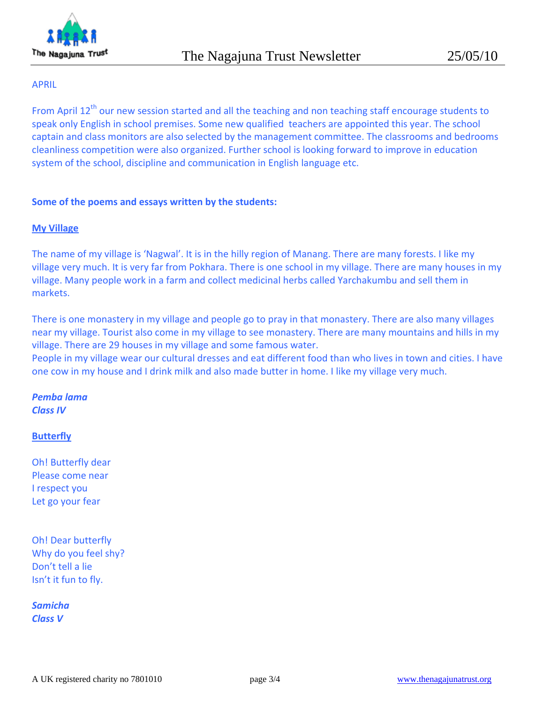

### APRIL

From April 12<sup>th</sup> our new session started and all the teaching and non teaching staff encourage students to speak only English in school premises. Some new qualified teachers are appointed this year. The school captain and class monitors are also selected by the management committee. The classrooms and bedrooms cleanliness competition were also organized. Further school is looking forward to improve in education system of the school, discipline and communication in English language etc.

### **Some of the poems and essays written by the students:**

### **My Village**

The name of my village is 'Nagwal'. It is in the hilly region of Manang. There are many forests. I like my village very much. It is very far from Pokhara. There is one school in my village. There are many houses in my village. Many people work in a farm and collect medicinal herbs called Yarchakumbu and sell them in markets.

There is one monastery in my village and people go to pray in that monastery. There are also many villages near my village. Tourist also come in my village to see monastery. There are many mountains and hills in my village. There are 29 houses in my village and some famous water.

People in my village wear our cultural dresses and eat different food than who lives in town and cities. I have one cow in my house and I drink milk and also made butter in home. I like my village very much.

# *Pemba lama Class IV*

### **Butterfly**

Oh! Butterfly dear Please come near I respect you Let go your fear

Oh! Dear butterfly Why do you feel shy? Don't tell a lie Isn't it fun to fly.

*Samicha Class V*